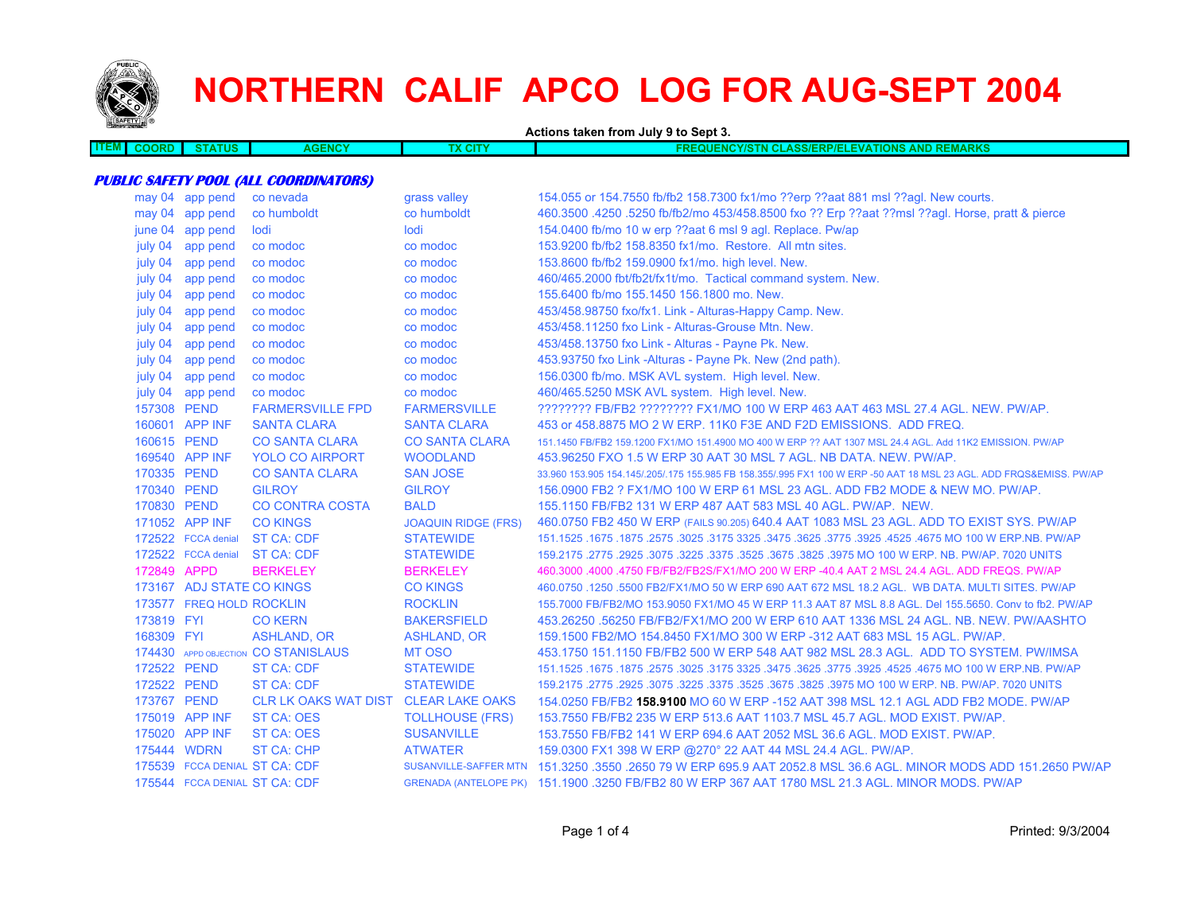

# **NORTHERN CALIF APCO LOG FOR AUG-SEPT 2004**

**Actions taken from July 9 to Sept 3. ITEM COORD STATUS AGENCY TX CITY FREQUENCY/STN CLASS/ERP/ELEVATIONS AND REMARKS PUBLIC SAFETY POOL (ALL COORDINATORS)** may 04 app pend co nevada grass valley 154.055 or 154.7550 fb/fb2 158.7300 fx1/mo ??erp ??aat 881 msl ??agl. New courts. may 04 app pend co humboldt co humboldt 460.3500 .4250 .5250 fb/fb2/mo 453/458.8500 fxo ?? Erp ??aat ??msl ??agl. Horse, pratt & pierce june 04 app pend lodi lodi 154.0400 fb/mo 10 w erp ??aat 6 msl 9 agl. Replace. Pw/ap july 04 app pend co modoc co modoc co modoc 153.9200 fb/fb2 158.8350 fx1/mo. Restore. All mtn sites. july 04 app pend co modoc co modoc 153.8600 fb/fb2 159.0900 fx1/mo. high level. New. july 04 app pend co modoc co modoc 460/465.2000 fbt/fb2t/fx1t/mo. Tactical command system. New. july 04 app pend co modoc co modoc 155.6400 fb/mo 155.1450 156.1800 mo. New. july 04 app pend co modoc co modoc 453/458.98750 fxo/fx1. Link - Alturas-Happy Camp. New. july 04 app pend co modoc co modoc 453/458.11250 fxo Link - Alturas-Grouse Mtn. New. july 04 app pend co modoc co modoc 453/458.13750 fxo Link - Alturas - Payne Pk. New. july 04 app pend co modoc co modoc 453.93750 fxo Link -Alturas - Payne Pk. New (2nd path). july 04 app pend co modoc co modoc 156.0300 fb/mo. MSK AVL system. High level. New. july 04 app pend co modoc co modoc 460/465.5250 MSK AVL system. High level. New. 157308 PEND FARMERSVILLE FPD FARMERSVILLE ???????? FB/FB2 ???????? FX1/MO 100 W ERP 463 AAT 463 MSL 27.4 AGL. NEW. PW/AP.160601 APP INF SANTA CLARA SANTA CLARA 453 or 458.8875 MO 2 W ERP. 11K0 F3E AND F2D EMISSIONS. ADD FREQ. 160615 PEND CO SANTA CLARA CO SANTA CLARA 151.1450 FB/FB2 159.1200 FX1/MO 151.4900 MO 400 W ERP ?? AAT 1307 MSL 24.4 AGL. Add 11K2 EMISSION. PW/AP 169540 APP INF YOLO CO AIRPORT WOODLAND 453.96250 FXO 1.5 W ERP 30 AAT 30 MSL 7 AGL. NB DATA. NEW. PW/AP. 170335 PEND CO SANTA CLARA SAN JOSE 33.960 153.905 154.145/.205/.175 155.985 FB 158.355/.995 FX1 100 W ERP -50 AAT 18 MSL 23 AGL. ADD FRQS&EMISS. PW/AP 170340 PEND GILROY GILROY 156.0900 FB2 ? FX1/MO 100 W ERP 61 MSL 23 AGL. ADD FB2 MODE & NEW MO. PW/AP.170830 PEND CO CONTRA COSTA BALD 155.1150 FB/FB2 131 W ERP 487 AAT 583 MSL 40 AGL. PW/AP. NEW.171052 APP INF CO KINGS JOAQUIN RIDGE (FRS) 460.0750 FB2 450 W ERP (FAILS 90.205) 640.4 AAT 1083 MSL 23 AGL. ADD TO EXIST SYS. PW/AP 172522 FCCA denial ST CA: CDF STATEWIDE 151.1525 .1675 .1875 .2575 .3025 .3175 3325 .3475 .3625 .3775 .3925 .4525 .4675 MO 100 W ERP.NB. PW/AP 172522 FCCA denial ST CA: CDF STATEWIDE 159.2175 .2775 .2925 .3075 .3225 .3375 .3525 .3675 .3825 .3975 MO 100 W ERP. NB. PW/AP. 7020 UNITS 172849 APPD BERKELEY BERKELEY 460.3000 .4000 .4750 FB/FB2/FB2S/FX1/MO 200 W ERP -40.4 AAT 2 MSL 24.4 AGL. ADD FREQS. PW/AP173167 ADJ STATE CO KINGS CO KINGS 460.0750 .1250 .5500 FB2/FX1/MO 50 W ERP 690 AAT 672 MSL 18.2 AGL. WB DATA. MULTI SITES. PW/AP 173577 FREQ HOLD ROCKLIN ROCKLIN 155.7000 FB/FB2/MO 153.9050 FX1/MO 45 W ERP 11.3 AAT 87 MSL 8.8 AGL. Del 155.5650. Conv to fb2. PW/AP 173819 FYI CO KERN BAKERSFIELD 453.26250 .56250 FB/FB2/FX1/MO 200 W ERP 610 AAT 1336 MSL 24 AGL. NB. NEW. PW/AASHTO168309 FYI ASHLAND, OR ASHLAND, OR 159.1500 FB2/MO 154.8450 FX1/MO 300 W ERP -312 AAT 683 MSL 15 AGL. PW/AP. 174430 APPD OBJECTION MT OSO 453.1750 151.1150 FB/FB2 500 W ERP 548 AAT 982 MSL 28.3 AGL. ADD TO SYSTEM. PW/IMSA 172522 PEND ST CA: CDF STATEWIDE 151.1525 .1675 .1875 .2575 .3025 .3175 3325 .3475 .3625 .3775 .3925 .4525 .4675 MO 100 W ERP.NB. PW/AP 172522 PEND ST CA: CDF STATEWIDE 159.2175 .2775 .2925 .3075 .3225 .3375 .3525 .3675 .3825 .3975 MO 100 W ERP. NB. PW/AP. 7020 UNITS 173767 PEND CLR LK OAKS WAT DIST CLEAR LAKE OAKS 154.0250 FB/FB2 **158.9100** MO 60 W ERP -152 AAT 398 MSL 12.1 AGL ADD FB2 MODE. PW/AP175019 APP INF ST CA: OES TOLLHOUSE (FRS) 153.7550 FB/FB2 235 W ERP 513.6 AAT 1103.7 MSL 45.7 AGL. MOD EXIST. PW/AP. 175020 APP INF ST CA: OES SUSANVILLE 153.7550 FB/FB2 141 W ERP 694.6 AAT 2052 MSL 36.6 AGL. MOD EXIST. PW/AP. 175444 WDRN ST CA: CHP ATWATER 159.0300 FX1 398 W ERP @270° 22 AAT 44 MSL 24.4 AGL. PW/AP. 175539 FCCA DENIAL ST CA: CDF SUSANVILLE-SAFFER MTN 151.3250 .3550 .2650 79 W ERP 695.9 AAT 2052.8 MSL 36.6 AGL. MINOR MODS ADD 151.2650 PW/AP175544 FCCA DENIAL ST CA: CDFGRENADA (ANTELOPE PK) 151.1900 .3250 FB/FB2 80 W ERP 367 AAT 1780 MSL 21.3 AGL. MINOR MODS. PW/AP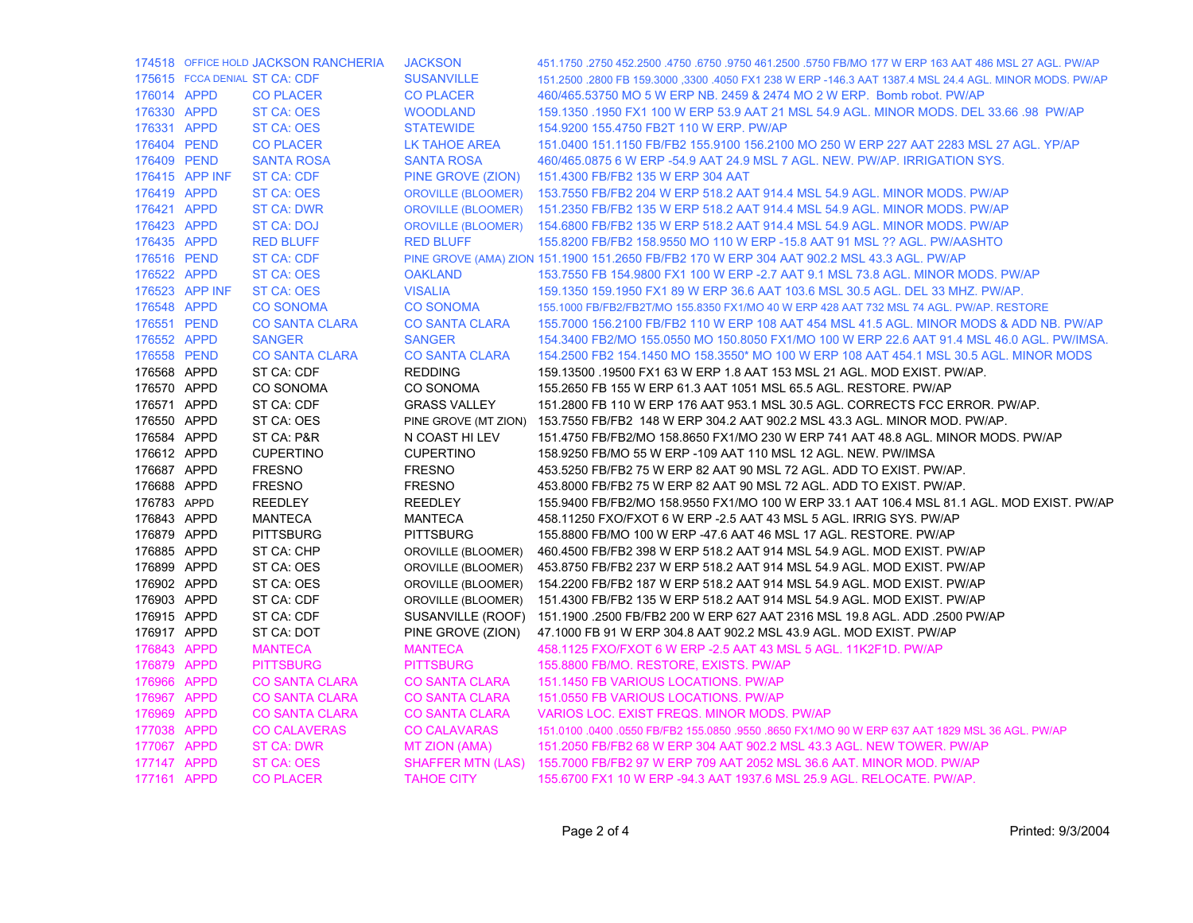|             |                | 174518 OFFICE HOLD JACKSON RANCHERIA | <b>JACKSON</b>            | 451.1750 .2750 452.2500 .4750 .6750 .9750 461.2500 .5750 FB/MO 177 W ERP 163 AAT 486 MSL 27 AGL. PW/AP |
|-------------|----------------|--------------------------------------|---------------------------|--------------------------------------------------------------------------------------------------------|
|             |                | 175615 FCCA DENIAL ST CA: CDF        | <b>SUSANVILLE</b>         | 151.2500 .2800 FB 159.3000 .3300 .4050 FX1 238 W ERP -146.3 AAT 1387.4 MSL 24.4 AGL, MINOR MODS, PW/AP |
| 176014 APPD |                | <b>CO PLACER</b>                     | <b>CO PLACER</b>          | 460/465.53750 MO 5 W ERP NB. 2459 & 2474 MO 2 W ERP. Bomb robot. PW/AP                                 |
| 176330 APPD |                | <b>ST CA: OES</b>                    | <b>WOODLAND</b>           | 159.1350 .1950 FX1 100 W ERP 53.9 AAT 21 MSL 54.9 AGL. MINOR MODS. DEL 33.66 .98 PW/AP                 |
| 176331 APPD |                | ST CA: OES                           | <b>STATEWIDE</b>          | 154.9200 155.4750 FB2T 110 W ERP. PW/AP                                                                |
| 176404 PEND |                | <b>CO PLACER</b>                     | LK TAHOE AREA             | 151.0400 151.1150 FB/FB2 155.9100 156.2100 MO 250 W ERP 227 AAT 2283 MSL 27 AGL. YP/AP                 |
| 176409 PEND |                | <b>SANTA ROSA</b>                    | <b>SANTA ROSA</b>         | 460/465.0875 6 W ERP -54.9 AAT 24.9 MSL 7 AGL. NEW. PW/AP. IRRIGATION SYS.                             |
|             | 176415 APP INF | ST CA: CDF                           | PINE GROVE (ZION)         | 151.4300 FB/FB2 135 W ERP 304 AAT                                                                      |
| 176419 APPD |                | ST CA: OES                           | <b>OROVILLE (BLOOMER)</b> | 153.7550 FB/FB2 204 W ERP 518.2 AAT 914.4 MSL 54.9 AGL. MINOR MODS. PW/AP                              |
| 176421 APPD |                | <b>ST CA: DWR</b>                    | <b>OROVILLE (BLOOMER)</b> | 151.2350 FB/FB2 135 W ERP 518.2 AAT 914.4 MSL 54.9 AGL, MINOR MODS, PW/AP                              |
| 176423 APPD |                | ST CA: DOJ                           | <b>OROVILLE (BLOOMER)</b> | 154,6800 FB/FB2 135 W ERP 518.2 AAT 914.4 MSL 54.9 AGL, MINOR MODS, PW/AP                              |
| 176435 APPD |                | <b>RED BLUFF</b>                     | <b>RED BLUFF</b>          | 155.8200 FB/FB2 158.9550 MO 110 W ERP -15.8 AAT 91 MSL ?? AGL. PW/AASHTO                               |
| 176516 PEND |                | ST CA: CDF                           |                           | PINE GROVE (AMA) ZION 151.1900 151.2650 FB/FB2 170 W ERP 304 AAT 902.2 MSL 43.3 AGL. PW/AP             |
| 176522 APPD |                | <b>ST CA: OES</b>                    | <b>OAKLAND</b>            | 153.7550 FB 154.9800 FX1 100 W ERP -2.7 AAT 9.1 MSL 73.8 AGL. MINOR MODS. PW/AP                        |
|             | 176523 APP INF | <b>ST CA: OES</b>                    | <b>VISALIA</b>            | 159.1350 159.1950 FX1 89 W ERP 36.6 AAT 103.6 MSL 30.5 AGL. DEL 33 MHZ. PW/AP.                         |
| 176548 APPD |                | <b>CO SONOMA</b>                     | <b>CO SONOMA</b>          | 155.1000 FB/FB2/FB2T/MO 155.8350 FX1/MO 40 W ERP 428 AAT 732 MSL 74 AGL. PW/AP. RESTORE                |
| 176551 PEND |                | <b>CO SANTA CLARA</b>                | <b>CO SANTA CLARA</b>     | 155.7000 156.2100 FB/FB2 110 W ERP 108 AAT 454 MSL 41.5 AGL. MINOR MODS & ADD NB. PW/AP                |
| 176552 APPD |                | <b>SANGER</b>                        | <b>SANGER</b>             | 154.3400 FB2/MO 155.0550 MO 150.8050 FX1/MO 100 W ERP 22.6 AAT 91.4 MSL 46.0 AGL. PW/IMSA.             |
| 176558 PEND |                | <b>CO SANTA CLARA</b>                | <b>CO SANTA CLARA</b>     | 154.2500 FB2 154.1450 MO 158.3550* MO 100 W ERP 108 AAT 454.1 MSL 30.5 AGL. MINOR MODS                 |
| 176568 APPD |                | ST CA: CDF                           | <b>REDDING</b>            | 159.13500 .19500 FX1 63 W ERP 1.8 AAT 153 MSL 21 AGL. MOD EXIST. PW/AP.                                |
| 176570 APPD |                | CO SONOMA                            | CO SONOMA                 | 155.2650 FB 155 W ERP 61.3 AAT 1051 MSL 65.5 AGL. RESTORE. PW/AP                                       |
| 176571 APPD |                | ST CA: CDF                           | <b>GRASS VALLEY</b>       | 151.2800 FB 110 W ERP 176 AAT 953.1 MSL 30.5 AGL. CORRECTS FCC ERROR. PW/AP.                           |
| 176550 APPD |                | ST CA: OES                           | PINE GROVE (MT ZION)      | 153.7550 FB/FB2 148 W ERP 304.2 AAT 902.2 MSL 43.3 AGL. MINOR MOD. PW/AP.                              |
| 176584 APPD |                | ST CA: P&R                           | N COAST HI LEV            | 151.4750 FB/FB2/MO 158.8650 FX1/MO 230 W ERP 741 AAT 48.8 AGL. MINOR MODS, PW/AP                       |
| 176612 APPD |                | <b>CUPERTINO</b>                     | <b>CUPERTINO</b>          | 158.9250 FB/MO 55 W ERP -109 AAT 110 MSL 12 AGL. NEW. PW/IMSA                                          |
| 176687 APPD |                | <b>FRESNO</b>                        | <b>FRESNO</b>             | 453.5250 FB/FB2 75 W ERP 82 AAT 90 MSL 72 AGL. ADD TO EXIST. PW/AP.                                    |
| 176688 APPD |                | <b>FRESNO</b>                        | <b>FRESNO</b>             | 453.8000 FB/FB2 75 W ERP 82 AAT 90 MSL 72 AGL. ADD TO EXIST. PW/AP.                                    |
| 176783 APPD |                | <b>REEDLEY</b>                       | <b>REEDLEY</b>            | 155.9400 FB/FB2/MO 158.9550 FX1/MO 100 W ERP 33.1 AAT 106.4 MSL 81.1 AGL. MOD EXIST. PW/AP             |
| 176843 APPD |                | <b>MANTECA</b>                       | MANTECA                   | 458.11250 FXO/FXOT 6 W ERP -2.5 AAT 43 MSL 5 AGL. IRRIG SYS. PW/AP                                     |
| 176879 APPD |                | <b>PITTSBURG</b>                     | <b>PITTSBURG</b>          | 155.8800 FB/MO 100 W ERP -47.6 AAT 46 MSL 17 AGL. RESTORE. PW/AP                                       |
| 176885 APPD |                | ST CA: CHP                           | OROVILLE (BLOOMER)        | 460.4500 FB/FB2 398 W ERP 518.2 AAT 914 MSL 54.9 AGL. MOD EXIST. PW/AP                                 |
| 176899 APPD |                | ST CA: OES                           | OROVILLE (BLOOMER)        | 453.8750 FB/FB2 237 W ERP 518.2 AAT 914 MSL 54.9 AGL. MOD EXIST. PW/AP                                 |
| 176902 APPD |                | ST CA: OES                           | OROVILLE (BLOOMER)        | 154.2200 FB/FB2 187 W ERP 518.2 AAT 914 MSL 54.9 AGL. MOD EXIST. PW/AP                                 |
| 176903 APPD |                | ST CA: CDF                           | OROVILLE (BLOOMER)        | 151.4300 FB/FB2 135 W ERP 518.2 AAT 914 MSL 54.9 AGL. MOD EXIST. PW/AP                                 |
| 176915 APPD |                | ST CA: CDF                           | SUSANVILLE (ROOF)         | 151.1900 .2500 FB/FB2 200 W ERP 627 AAT 2316 MSL 19.8 AGL. ADD .2500 PW/AP                             |
| 176917 APPD |                | ST CA: DOT                           | PINE GROVE (ZION)         | 47.1000 FB 91 W ERP 304.8 AAT 902.2 MSL 43.9 AGL. MOD EXIST. PW/AP                                     |
| 176843 APPD |                | <b>MANTECA</b>                       | <b>MANTECA</b>            | 458.1125 FXO/FXOT 6 W ERP - 2.5 AAT 43 MSL 5 AGL. 11K2F1D. PW/AP                                       |
| 176879 APPD |                | <b>PITTSBURG</b>                     | <b>PITTSBURG</b>          | 155.8800 FB/MO. RESTORE, EXISTS. PW/AP                                                                 |
| 176966 APPD |                | <b>CO SANTA CLARA</b>                | <b>CO SANTA CLARA</b>     | 151.1450 FB VARIOUS LOCATIONS. PW/AP                                                                   |
| 176967 APPD |                | <b>CO SANTA CLARA</b>                | <b>CO SANTA CLARA</b>     | 151.0550 FB VARIOUS LOCATIONS. PW/AP                                                                   |
| 176969 APPD |                | <b>CO SANTA CLARA</b>                | <b>CO SANTA CLARA</b>     | VARIOS LOC. EXIST FREQS. MINOR MODS. PW/AP                                                             |
| 177038 APPD |                | <b>CO CALAVERAS</b>                  | <b>CO CALAVARAS</b>       | 151.0100 .0400 .0550 FB/FB2 155.0850 .9550 .8650 FX1/MO 90 W ERP 637 AAT 1829 MSL 36 AGL. PW/AP        |
| 177067 APPD |                | <b>ST CA: DWR</b>                    | MT ZION (AMA)             | 151.2050 FB/FB2 68 W ERP 304 AAT 902.2 MSL 43.3 AGL. NEW TOWER. PW/AP                                  |
| 177147 APPD |                | <b>ST CA: OES</b>                    | <b>SHAFFER MTN (LAS)</b>  | 155.7000 FB/FB2 97 W ERP 709 AAT 2052 MSL 36.6 AAT. MINOR MOD. PW/AP                                   |
| 177161 APPD |                | <b>CO PLACER</b>                     | <b>TAHOE CITY</b>         | 155,6700 FX1 10 W ERP -94.3 AAT 1937.6 MSL 25.9 AGL, RELOCATE, PW/AP                                   |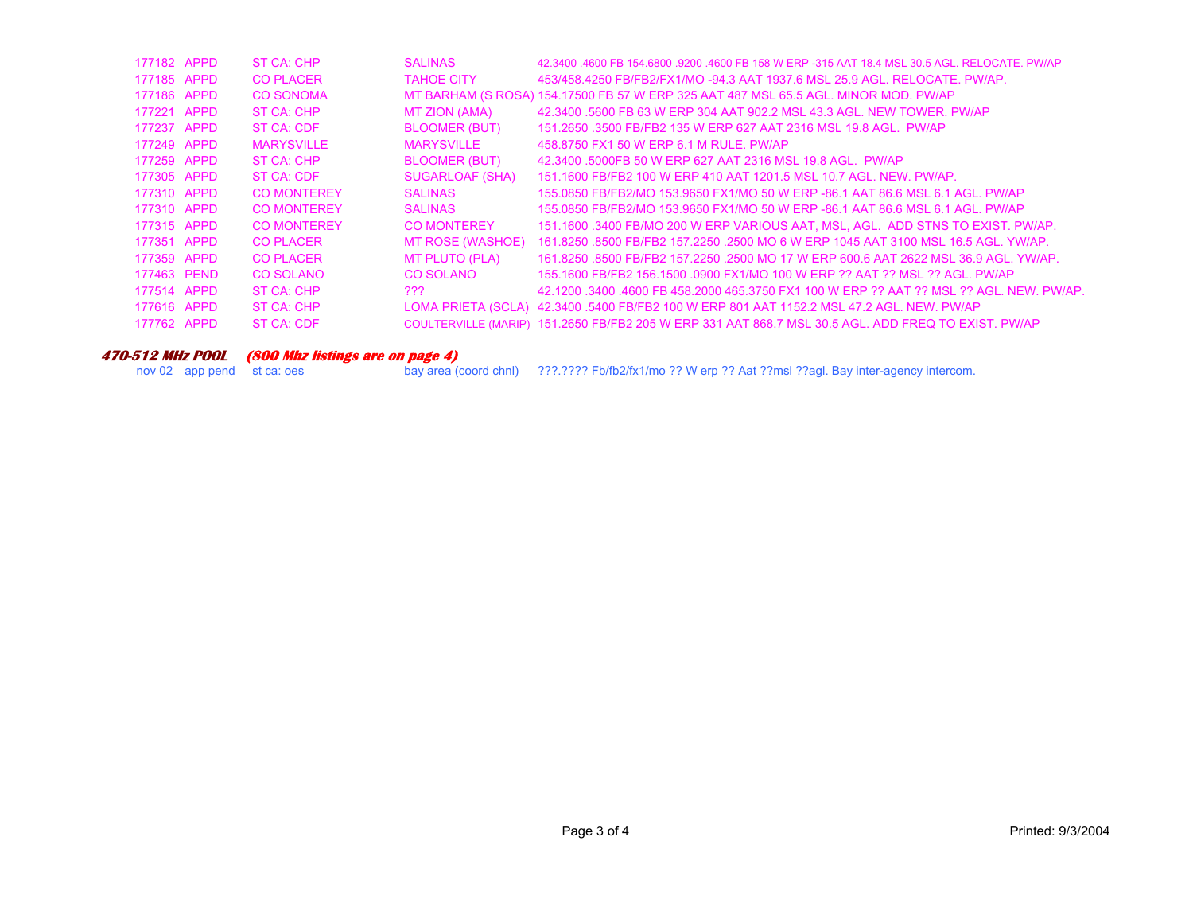| 177182 APPD | ST CA: CHP         | <b>SALINAS</b>          | 42.3400 .4600 FB 154.6800 .9200 .4600 FB 158 W ERP -315 AAT 18.4 MSL 30.5 AGL, RELOCATE, PW/AP      |
|-------------|--------------------|-------------------------|-----------------------------------------------------------------------------------------------------|
| 177185 APPD | <b>CO PLACER</b>   | <b>TAHOE CITY</b>       | 453/458.4250 FB/FB2/FX1/MO -94.3 AAT 1937.6 MSL 25.9 AGL. RELOCATE. PW/AP.                          |
| 177186 APPD | <b>CO SONOMA</b>   |                         | MT BARHAM (S ROSA) 154.17500 FB 57 W ERP 325 AAT 487 MSL 65.5 AGL. MINOR MOD. PW/AP                 |
| 177221 APPD | ST CA: CHP         | MT ZION (AMA)           | 42.3400 .5600 FB 63 W ERP 304 AAT 902.2 MSL 43.3 AGL. NEW TOWER, PW/AP                              |
| 177237 APPD | ST CA: CDF         | <b>BLOOMER (BUT)</b>    | 151,2650,3500 FB/FB2 135 W ERP 627 AAT 2316 MSL 19.8 AGL, PW/AP                                     |
| 177249 APPD | <b>MARYSVILLE</b>  | <b>MARYSVILLE</b>       | 458,8750 FX1 50 W ERP 6.1 M RULE, PW/AP                                                             |
| 177259 APPD | ST CA: CHP         | <b>BLOOMER (BUT)</b>    | 42.3400 .5000FB 50 W ERP 627 AAT 2316 MSL 19.8 AGL. PW/AP                                           |
| 177305 APPD | ST CA: CDF         | SUGARLOAF (SHA)         | 151.1600 FB/FB2 100 W ERP 410 AAT 1201.5 MSL 10.7 AGL. NEW. PW/AP.                                  |
| 177310 APPD | <b>CO MONTEREY</b> | <b>SALINAS</b>          | 155,0850 FB/FB2/MO 153,9650 FX1/MO 50 W ERP -86.1 AAT 86.6 MSL 6.1 AGL, PW/AP                       |
| 177310 APPD | <b>CO MONTEREY</b> | <b>SALINAS</b>          | 155,0850 FB/FB2/MO 153,9650 FX1/MO 50 W ERP -86.1 AAT 86.6 MSL 6.1 AGL, PW/AP                       |
| 177315 APPD | <b>CO MONTEREY</b> | <b>CO MONTEREY</b>      | 151.1600 .3400 FB/MO 200 W ERP VARIOUS AAT, MSL, AGL. ADD STNS TO EXIST, PW/AP.                     |
| 177351 APPD | <b>CO PLACER</b>   | <b>MT ROSE (WASHOE)</b> | 161.8250 .8500 FB/FB2 157.2250 .2500 MO 6 W ERP 1045 AAT 3100 MSL 16.5 AGL, YW/AP,                  |
| 177359 APPD | <b>CO PLACER</b>   | MT PLUTO (PLA)          | 161.8250 .8500 FB/FB2 157.2250 .2500 MO 17 W ERP 600.6 AAT 2622 MSL 36.9 AGL, YW/AP,                |
| 177463 PEND | CO SOLANO          | CO SOLANO               | 155.1600 FB/FB2 156.1500 .0900 FX1/MO 100 W ERP ?? AAT ?? MSL ?? AGL. PW/AP                         |
| 177514 APPD | ST CA: CHP         | ???                     | 42.1200 .3400 .4600 FB 458.2000 465.3750 FX1 100 W ERP ?? AAT ?? MSL ?? AGL. NEW. PW/AP.            |
| 177616 APPD | ST CA: CHP         |                         | LOMA PRIETA (SCLA) 42.3400 .5400 FB/FB2 100 W ERP 801 AAT 1152.2 MSL 47.2 AGL. NEW. PW/AP           |
| 177762 APPD | ST CA: CDF         |                         | COULTERVILLE (MARIP) 151.2650 FB/FB2 205 W ERP 331 AAT 868.7 MSL 30.5 AGL. ADD FREQ TO EXIST. PW/AP |
|             |                    |                         |                                                                                                     |

#### **470-512 MHz POOL (800 Mhz listings are on page 4)**

nov 02 app pend st ca: oes bay area (coord chnl) ???.???? Fb/fb2/fx1/mo ?? W erp ?? Aat ??msl ??agl. Bay inter-agency intercom.